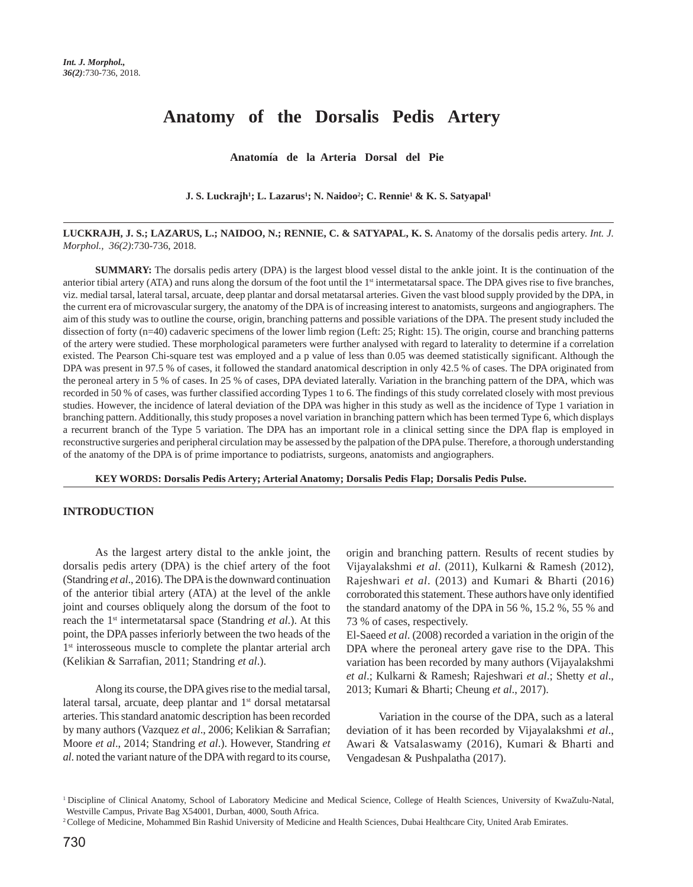# **Anatomy of the Dorsalis Pedis Artery**

**Anatomía de la Arteria Dorsal del Pie**

#### **J. S. Luckrajh<sup>1</sup>; L. Lazarus<sup>1</sup>; N. Naidoo<sup>2</sup>; C. Rennie<sup>1</sup> & K. S. Satyapal<sup>1</sup>**

**LUCKRAJH, J. S.; LAZARUS, L.; NAIDOO, N.; RENNIE, C. & SATYAPAL, K. S.** Anatomy of the dorsalis pedis artery. *Int. J. Morphol., 36(2)*:730-736, 2018.

**SUMMARY:** The dorsalis pedis artery (DPA) is the largest blood vessel distal to the ankle joint. It is the continuation of the anterior tibial artery (ATA) and runs along the dorsum of the foot until the 1<sup>st</sup> intermetatarsal space. The DPA gives rise to five branches, viz. medial tarsal, lateral tarsal, arcuate, deep plantar and dorsal metatarsal arteries. Given the vast blood supply provided by the DPA, in the current era of microvascular surgery, the anatomy of the DPA is of increasing interest to anatomists, surgeons and angiographers. The aim of this study was to outline the course, origin, branching patterns and possible variations of the DPA. The present study included the dissection of forty (n=40) cadaveric specimens of the lower limb region (Left: 25; Right: 15). The origin, course and branching patterns of the artery were studied. These morphological parameters were further analysed with regard to laterality to determine if a correlation existed. The Pearson Chi-square test was employed and a p value of less than 0.05 was deemed statistically significant. Although the DPA was present in 97.5 % of cases, it followed the standard anatomical description in only 42.5 % of cases. The DPA originated from the peroneal artery in 5 % of cases. In 25 % of cases, DPA deviated laterally. Variation in the branching pattern of the DPA, which was recorded in 50 % of cases, was further classified according Types 1 to 6. The findings of this study correlated closely with most previous studies. However, the incidence of lateral deviation of the DPA was higher in this study as well as the incidence of Type 1 variation in branching pattern. Additionally, this study proposes a novel variation in branching pattern which has been termed Type 6, which displays a recurrent branch of the Type 5 variation. The DPA has an important role in a clinical setting since the DPA flap is employed in reconstructive surgeries and peripheral circulation may be assessed by the palpation of the DPA pulse. Therefore, a thorough understanding of the anatomy of the DPA is of prime importance to podiatrists, surgeons, anatomists and angiographers.

**KEY WORDS: Dorsalis Pedis Artery; Arterial Anatomy; Dorsalis Pedis Flap; Dorsalis Pedis Pulse.**

### **INTRODUCTION**

As the largest artery distal to the ankle joint, the dorsalis pedis artery (DPA) is the chief artery of the foot (Standring *et al*., 2016). The DPA is the downward continuation of the anterior tibial artery (ATA) at the level of the ankle joint and courses obliquely along the dorsum of the foot to reach the 1st intermetatarsal space (Standring *et al*.). At this point, the DPA passes inferiorly between the two heads of the 1<sup>st</sup> interosseous muscle to complete the plantar arterial arch (Kelikian & Sarrafian, 2011; Standring *et al*.).

Along its course, the DPA gives rise to the medial tarsal, lateral tarsal, arcuate, deep plantar and 1<sup>st</sup> dorsal metatarsal arteries. This standard anatomic description has been recorded by many authors (Vazquez *et al*., 2006; Kelikian & Sarrafian; Moore *et al*., 2014; Standring *et al*.). However, Standring *et al*. noted the variant nature of the DPA with regard to its course, origin and branching pattern. Results of recent studies by Vijayalakshmi *et al*. (2011), Kulkarni & Ramesh (2012), Rajeshwari *et al*. (2013) and Kumari & Bharti (2016) corroborated this statement. These authors have only identified the standard anatomy of the DPA in 56 %, 15.2 %, 55 % and 73 % of cases, respectively.

El-Saeed *et al*. (2008) recorded a variation in the origin of the DPA where the peroneal artery gave rise to the DPA. This variation has been recorded by many authors (Vijayalakshmi *et al*.; Kulkarni & Ramesh; Rajeshwari *et al*.; Shetty *et al*., 2013; Kumari & Bharti; Cheung *et al*., 2017).

Variation in the course of the DPA, such as a lateral deviation of it has been recorded by Vijayalakshmi *et al*., Awari & Vatsalaswamy (2016), Kumari & Bharti and Vengadesan & Pushpalatha (2017).

<sup>&</sup>lt;sup>1</sup> Discipline of Clinical Anatomy, School of Laboratory Medicine and Medical Science, College of Health Sciences, University of KwaZulu-Natal, Westville Campus, Private Bag X54001, Durban, 4000, South Africa.

<sup>&</sup>lt;sup>2</sup> College of Medicine, Mohammed Bin Rashid University of Medicine and Health Sciences, Dubai Healthcare City, United Arab Emirates.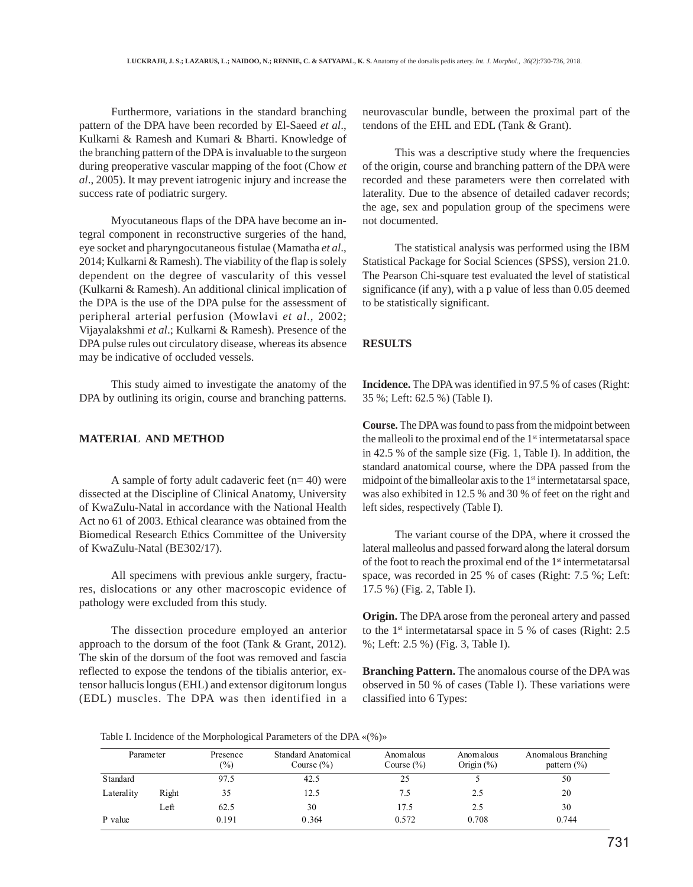Furthermore, variations in the standard branching pattern of the DPA have been recorded by El-Saeed *et al*., Kulkarni & Ramesh and Kumari & Bharti. Knowledge of the branching pattern of the DPA is invaluable to the surgeon during preoperative vascular mapping of the foot (Chow *et al*., 2005). It may prevent iatrogenic injury and increase the success rate of podiatric surgery.

Myocutaneous flaps of the DPA have become an integral component in reconstructive surgeries of the hand, eye socket and pharyngocutaneous fistulae (Mamatha *et al*., 2014; Kulkarni & Ramesh). The viability of the flap is solely dependent on the degree of vascularity of this vessel (Kulkarni & Ramesh). An additional clinical implication of the DPA is the use of the DPA pulse for the assessment of peripheral arterial perfusion (Mowlavi *et al*., 2002; Vijayalakshmi *et al*.; Kulkarni & Ramesh). Presence of the DPA pulse rules out circulatory disease, whereas its absence may be indicative of occluded vessels.

This study aimed to investigate the anatomy of the DPA by outlining its origin, course and branching patterns.

# **MATERIAL AND METHOD**

A sample of forty adult cadaveric feet  $(n= 40)$  were dissected at the Discipline of Clinical Anatomy, University of KwaZulu-Natal in accordance with the National Health Act no 61 of 2003. Ethical clearance was obtained from the Biomedical Research Ethics Committee of the University of KwaZulu-Natal (BE302/17).

All specimens with previous ankle surgery, fractures, dislocations or any other macroscopic evidence of pathology were excluded from this study.

The dissection procedure employed an anterior approach to the dorsum of the foot (Tank & Grant, 2012). The skin of the dorsum of the foot was removed and fascia reflected to expose the tendons of the tibialis anterior, extensor hallucis longus (EHL) and extensor digitorum longus (EDL) muscles. The DPA was then identified in a neurovascular bundle, between the proximal part of the tendons of the EHL and EDL (Tank & Grant).

This was a descriptive study where the frequencies of the origin, course and branching pattern of the DPA were recorded and these parameters were then correlated with laterality. Due to the absence of detailed cadaver records; the age, sex and population group of the specimens were not documented.

The statistical analysis was performed using the IBM Statistical Package for Social Sciences (SPSS), version 21.0. The Pearson Chi-square test evaluated the level of statistical significance (if any), with a p value of less than 0.05 deemed to be statistically significant.

# **RESULTS**

**Incidence.** The DPA was identified in 97.5 % of cases (Right: 35 %; Left: 62.5 %) (Table I).

**Course.** The DPA was found to pass from the midpoint between the malleoli to the proximal end of the  $1<sup>st</sup>$  intermetatarsal space in 42.5 % of the sample size (Fig. 1, Table I). In addition, the standard anatomical course, where the DPA passed from the midpoint of the bimalleolar axis to the  $1<sup>st</sup>$  intermetatarsal space, was also exhibited in 12.5 % and 30 % of feet on the right and left sides, respectively (Table I).

The variant course of the DPA, where it crossed the lateral malleolus and passed forward along the lateral dorsum of the foot to reach the proximal end of the 1<sup>st</sup> intermetatarsal space, was recorded in 25 % of cases (Right: 7.5 %; Left: 17.5 %) (Fig. 2, Table I).

**Origin.** The DPA arose from the peroneal artery and passed to the  $1<sup>st</sup>$  intermetatarsal space in 5 % of cases (Right: 2.5) %; Left: 2.5 %) (Fig. 3, Table I).

**Branching Pattern.** The anomalous course of the DPA was observed in 50 % of cases (Table I). These variations were classified into 6 Types:

Table I. Incidence of the Morphological Parameters of the DPA «(%)»

|                 | Parameter | Presence<br>$\frac{6}{2}$ | Standard Anatomical<br>Course $(\% )$ | Anomalous<br>Course $(\% )$ | Anomalous<br>Origin $(\%)$ | Anomalous Branching<br>pattern $(\% )$ |
|-----------------|-----------|---------------------------|---------------------------------------|-----------------------------|----------------------------|----------------------------------------|
| <b>Standard</b> |           | 97.5                      | 42.5                                  | 25                          |                            | 50                                     |
| Laterality      | Right     | 35                        | 12.5                                  | 7.5                         | 2.5                        | 20                                     |
|                 | Left      | 62.5                      | 30                                    | 17.5                        | 2.5                        | 30                                     |
| P value         |           | 0.191                     | 0.364                                 | 0.572                       | 0.708                      | 0.744                                  |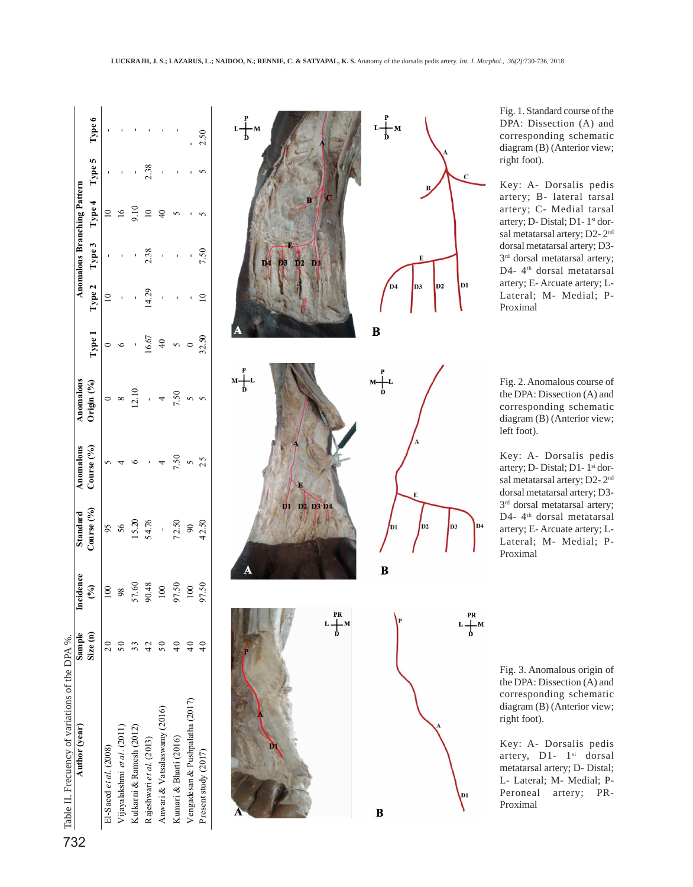| $\frac{1}{2}$ Table II. Frecuency of variations of the DPA %.<br>Author (year) Sample |         | incidence               | Standard                   | Anomalous  | Anomalous     |                 |       |               | Anomalous Branching Pattern |        |        |
|---------------------------------------------------------------------------------------|---------|-------------------------|----------------------------|------------|---------------|-----------------|-------|---------------|-----------------------------|--------|--------|
|                                                                                       | Size(n) | $\widehat{\mathcal{E}}$ | Course (%)                 | Course (%) | Origin (%)    | Type 1          |       | Type 2 Type 3 | Type 4                      | Type 5 | Type 6 |
| El-Saeed et al. $(2008)$                                                              |         | $\infty$                |                            |            |               |                 |       |               |                             |        |        |
| Vijayalakshmi et al. (2011)                                                           |         | 98                      | 56                         |            |               |                 |       |               |                             |        |        |
| Kulkarni & Ramesh (2012)                                                              |         | 57.60                   | 5.20                       |            | $\frac{1}{2}$ |                 |       |               | Ξ                           |        |        |
| Rajeshwari et al. (2013)                                                              |         | 90.48                   | 54.76                      |            |               | 16.67           | 14.29 | 2.38          | $\overline{a}$              | 2.38   |        |
| Anwari & Vatsalaswamy (2016)                                                          |         |                         |                            |            |               | $\overline{40}$ |       |               |                             |        |        |
| Kumari & Bharti (2016)                                                                |         | 97.50                   | 72.50                      | 7.50       | 7.50          |                 |       |               |                             |        |        |
| Vengadesan & Pushpalatha (2017)                                                       |         | 100                     | $\boldsymbol{\mathcal{S}}$ |            |               |                 |       |               |                             |        |        |
| Present study (2017)                                                                  |         | 97.50                   | 42.50                      |            |               | 32.50           |       | 7.50          |                             |        | 2.50   |



Fig. 1. Standard course of the DPA: Dissection (A) and corresponding schematic diagram (B) (Anterior view; right foot).

Key: A- Dorsalis pedis artery; B- lateral tarsal artery; C- Medial tarsal artery; D- Distal; D1-1<sup>st</sup> dorsal metatarsal artery; D2- 2nd dorsal metatarsal artery; D3- 3<sup>rd</sup> dorsal metatarsal artery; D4- 4<sup>th</sup> dorsal metatarsal artery; E- Arcuate artery; L-Lateral; M- Medial; P-Proximal

Fig. 2. Anomalous course of the DPA: Dissection (A) and corresponding schematic diagram (B) (Anterior view; left foot).

Key: A- Dorsalis pedis artery; D- Distal; D1- 1st dorsal metatarsal artery; D2- 2nd dorsal metatarsal artery; D3- 3<sup>rd</sup> dorsal metatarsal artery; D4-4<sup>th</sup> dorsal metatarsal artery; E- Arcuate artery; L-Lateral; M- Medial; P-Proximal

Fig. 3. Anomalous origin of the DPA: Dissection (A) and corresponding schematic diagram (B) (Anterior view; right foot).

Key: A- Dorsalis pedis artery, D1- 1<sup>st</sup> dorsal metatarsal artery; D- Distal; L- Lateral; M- Medial; P-Peroneal artery; PR-Proximal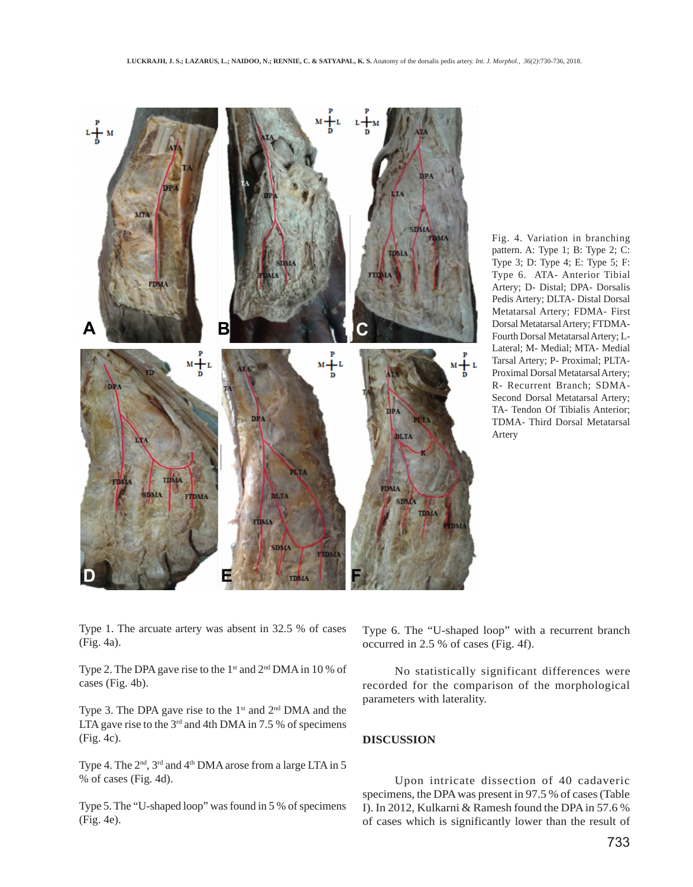

Fig. 4. Variation in branching pattern. A: Type 1; B: Type 2; C: Type 3; D: Type 4; E: Type 5; F: Type 6. ATA- Anterior Tibial Artery; D- Distal; DPA- Dorsalis Pedis Artery; DLTA- Distal Dorsal Metatarsal Artery; FDMA- First Dorsal Metatarsal Artery; FTDMA-Fourth Dorsal Metatarsal Artery; L-Lateral; M- Medial; MTA- Medial Tarsal Artery; P- Proximal; PLTA-Proximal Dorsal Metatarsal Artery; R- Recurrent Branch; SDMA-Second Dorsal Metatarsal Artery; TA- Tendon Of Tibialis Anterior; TDMA- Third Dorsal Metatarsal Artery

Type 1. The arcuate artery was absent in 32.5 % of cases (Fig. 4a).

Type 2. The DPA gave rise to the 1<sup>st</sup> and 2<sup>nd</sup> DMA in 10 % of cases (Fig. 4b).

Type 3. The DPA gave rise to the  $1<sup>st</sup>$  and  $2<sup>nd</sup>$  DMA and the LTA gave rise to the  $3<sup>rd</sup>$  and 4th DMA in 7.5 % of specimens (Fig. 4c).

Type 4. The  $2<sup>nd</sup>$ ,  $3<sup>rd</sup>$  and  $4<sup>th</sup>$  DMA arose from a large LTA in 5 % of cases (Fig. 4d).

Type 5. The "U-shaped loop" was found in 5 % of specimens (Fig. 4e).

Type 6. The "U-shaped loop" with a recurrent branch occurred in 2.5 % of cases (Fig. 4f).

No statistically significant differences were recorded for the comparison of the morphological parameters with laterality.

# **DISCUSSION**

Upon intricate dissection of 40 cadaveric specimens, the DPA was present in 97.5 % of cases (Table I). In 2012, Kulkarni & Ramesh found the DPA in 57.6 % of cases which is significantly lower than the result of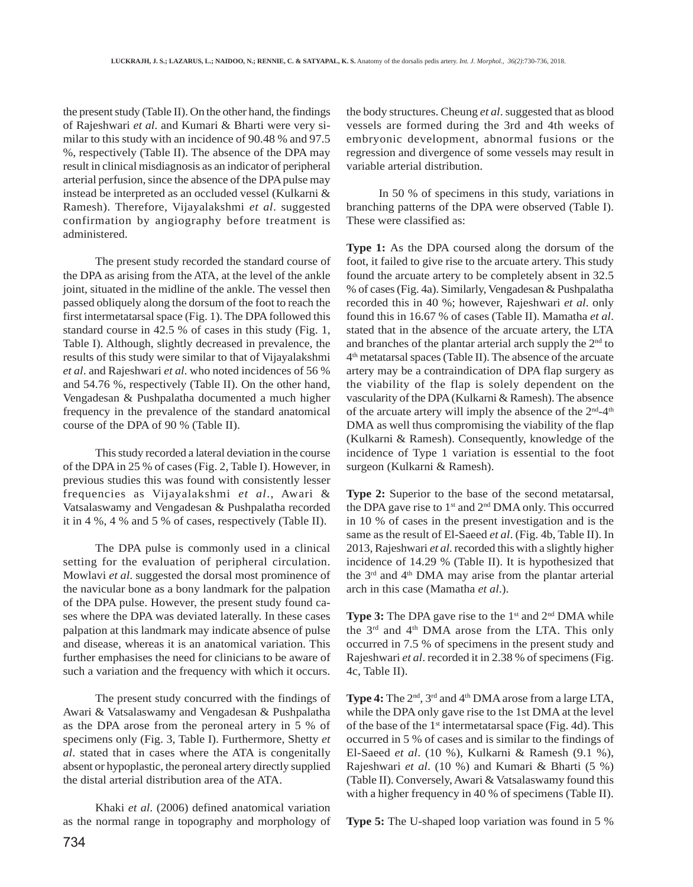the present study (Table II). On the other hand, the findings of Rajeshwari *et al*. and Kumari & Bharti were very similar to this study with an incidence of 90.48 % and 97.5 %, respectively (Table II). The absence of the DPA may result in clinical misdiagnosis as an indicator of peripheral arterial perfusion, since the absence of the DPA pulse may instead be interpreted as an occluded vessel (Kulkarni & Ramesh). Therefore, Vijayalakshmi *et al*. suggested confirmation by angiography before treatment is administered.

The present study recorded the standard course of the DPA as arising from the ATA, at the level of the ankle joint, situated in the midline of the ankle. The vessel then passed obliquely along the dorsum of the foot to reach the first intermetatarsal space (Fig. 1). The DPA followed this standard course in 42.5 % of cases in this study (Fig. 1, Table I). Although, slightly decreased in prevalence, the results of this study were similar to that of Vijayalakshmi *et al*. and Rajeshwari *et al*. who noted incidences of 56 % and 54.76 %, respectively (Table II). On the other hand, Vengadesan & Pushpalatha documented a much higher frequency in the prevalence of the standard anatomical course of the DPA of 90 % (Table II).

This study recorded a lateral deviation in the course of the DPA in 25 % of cases (Fig. 2, Table I). However, in previous studies this was found with consistently lesser frequencies as Vijayalakshmi *et al*., Awari & Vatsalaswamy and Vengadesan & Pushpalatha recorded it in 4 %, 4 % and 5 % of cases, respectively (Table II).

The DPA pulse is commonly used in a clinical setting for the evaluation of peripheral circulation. Mowlavi *et al*. suggested the dorsal most prominence of the navicular bone as a bony landmark for the palpation of the DPA pulse. However, the present study found cases where the DPA was deviated laterally. In these cases palpation at this landmark may indicate absence of pulse and disease, whereas it is an anatomical variation. This further emphasises the need for clinicians to be aware of such a variation and the frequency with which it occurs.

The present study concurred with the findings of Awari & Vatsalaswamy and Vengadesan & Pushpalatha as the DPA arose from the peroneal artery in 5 % of specimens only (Fig. 3, Table I). Furthermore, Shetty *et al*. stated that in cases where the ATA is congenitally absent or hypoplastic, the peroneal artery directly supplied the distal arterial distribution area of the ATA.

Khaki *et al*. (2006) defined anatomical variation as the normal range in topography and morphology of the body structures. Cheung *et al*. suggested that as blood vessels are formed during the 3rd and 4th weeks of embryonic development, abnormal fusions or the regression and divergence of some vessels may result in variable arterial distribution.

In 50 % of specimens in this study, variations in branching patterns of the DPA were observed (Table I). These were classified as:

**Type 1:** As the DPA coursed along the dorsum of the foot, it failed to give rise to the arcuate artery. This study found the arcuate artery to be completely absent in 32.5 % of cases (Fig. 4a). Similarly, Vengadesan & Pushpalatha recorded this in 40 %; however, Rajeshwari *et al*. only found this in 16.67 % of cases (Table II). Mamatha *et al*. stated that in the absence of the arcuate artery, the LTA and branches of the plantar arterial arch supply the  $2<sup>nd</sup>$  to 4th metatarsal spaces (Table II). The absence of the arcuate artery may be a contraindication of DPA flap surgery as the viability of the flap is solely dependent on the vascularity of the DPA (Kulkarni & Ramesh). The absence of the arcuate artery will imply the absence of the  $2<sup>nd</sup>-4<sup>th</sup>$ DMA as well thus compromising the viability of the flap (Kulkarni & Ramesh). Consequently, knowledge of the incidence of Type 1 variation is essential to the foot surgeon (Kulkarni & Ramesh).

**Type 2:** Superior to the base of the second metatarsal, the DPA gave rise to  $1^{st}$  and  $2^{nd}$  DMA only. This occurred in 10 % of cases in the present investigation and is the same as the result of El-Saeed *et al*. (Fig. 4b, Table II). In 2013, Rajeshwari *et al*. recorded this with a slightly higher incidence of 14.29 % (Table II). It is hypothesized that the  $3<sup>rd</sup>$  and  $4<sup>th</sup>$  DMA may arise from the plantar arterial arch in this case (Mamatha *et al*.).

**Type 3:** The DPA gave rise to the 1<sup>st</sup> and 2<sup>nd</sup> DMA while the 3rd and 4th DMA arose from the LTA. This only occurred in 7.5 % of specimens in the present study and Rajeshwari *et al*. recorded it in 2.38 % of specimens (Fig. 4c, Table II).

**Type 4:** The 2<sup>nd</sup>, 3<sup>rd</sup> and 4<sup>th</sup> DMA arose from a large LTA, while the DPA only gave rise to the 1st DMA at the level of the base of the  $1<sup>st</sup>$  intermetatarsal space (Fig. 4d). This occurred in 5 % of cases and is similar to the findings of El-Saeed *et al*. (10 %), Kulkarni & Ramesh (9.1 %), Rajeshwari *et al*. (10 %) and Kumari & Bharti (5 %) (Table II). Conversely, Awari & Vatsalaswamy found this with a higher frequency in 40 % of specimens (Table II).

**Type 5:** The U-shaped loop variation was found in 5 %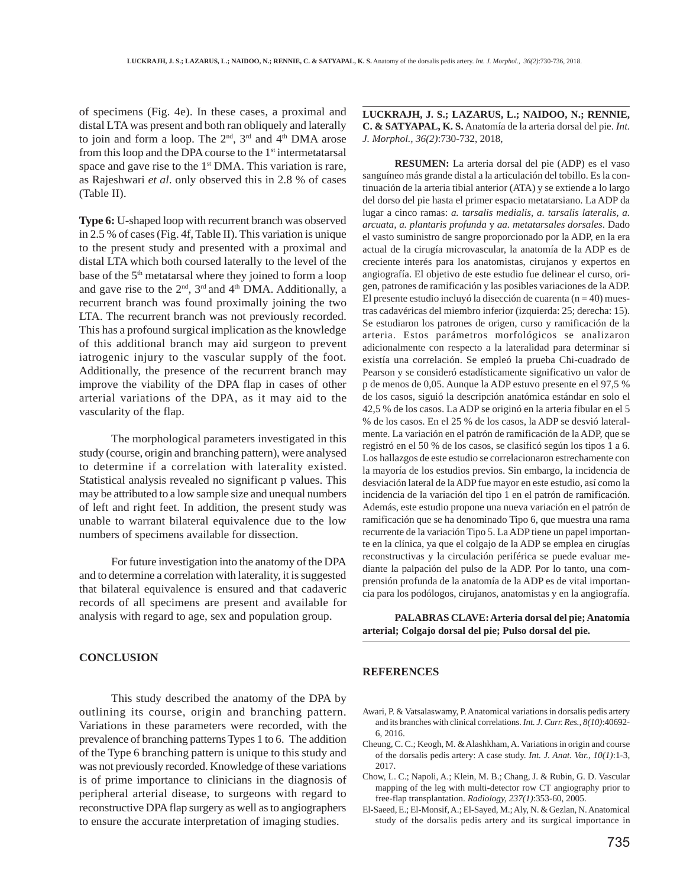of specimens (Fig. 4e). In these cases, a proximal and distal LTA was present and both ran obliquely and laterally to join and form a loop. The  $2<sup>nd</sup>$ ,  $3<sup>rd</sup>$  and  $4<sup>th</sup>$  DMA arose from this loop and the DPA course to the  $1<sup>st</sup>$  intermetatarsal space and gave rise to the  $1<sup>st</sup>$  DMA. This variation is rare, as Rajeshwari *et al*. only observed this in 2.8 % of cases (Table II).

**Type 6:** U-shaped loop with recurrent branch was observed in 2.5 % of cases (Fig. 4f, Table II). This variation is unique to the present study and presented with a proximal and distal LTA which both coursed laterally to the level of the base of the 5<sup>th</sup> metatarsal where they joined to form a loop and gave rise to the  $2<sup>nd</sup>$ ,  $3<sup>rd</sup>$  and  $4<sup>th</sup>$  DMA. Additionally, a recurrent branch was found proximally joining the two LTA. The recurrent branch was not previously recorded. This has a profound surgical implication as the knowledge of this additional branch may aid surgeon to prevent iatrogenic injury to the vascular supply of the foot. Additionally, the presence of the recurrent branch may improve the viability of the DPA flap in cases of other arterial variations of the DPA, as it may aid to the vascularity of the flap.

The morphological parameters investigated in this study (course, origin and branching pattern), were analysed to determine if a correlation with laterality existed. Statistical analysis revealed no significant p values. This may be attributed to a low sample size and unequal numbers of left and right feet. In addition, the present study was unable to warrant bilateral equivalence due to the low numbers of specimens available for dissection.

For future investigation into the anatomy of the DPA and to determine a correlation with laterality, it is suggested that bilateral equivalence is ensured and that cadaveric records of all specimens are present and available for analysis with regard to age, sex and population group.

### **CONCLUSION**

This study described the anatomy of the DPA by outlining its course, origin and branching pattern. Variations in these parameters were recorded, with the prevalence of branching patterns Types 1 to 6. The addition of the Type 6 branching pattern is unique to this study and was not previously recorded. Knowledge of these variations is of prime importance to clinicians in the diagnosis of peripheral arterial disease, to surgeons with regard to reconstructive DPA flap surgery as well as to angiographers to ensure the accurate interpretation of imaging studies.

**LUCKRAJH, J. S.; LAZARUS, L.; NAIDOO, N.; RENNIE, C. & SATYAPAL, K. S.** Anatomía de la arteria dorsal del pie. *Int. J. Morphol., 36(2)*:730-732, 2018,

**RESUMEN:** La arteria dorsal del pie (ADP) es el vaso sanguíneo más grande distal a la articulación del tobillo. Es la continuación de la arteria tibial anterior (ATA) y se extiende a lo largo del dorso del pie hasta el primer espacio metatarsiano. La ADP da lugar a cinco ramas: *a. tarsalis medialis, a. tarsalis lateralis, a. arcuata, a. plantaris profunda* y *aa. metatarsales dorsales*. Dado el vasto suministro de sangre proporcionado por la ADP, en la era actual de la cirugía microvascular, la anatomía de la ADP es de creciente interés para los anatomistas, cirujanos y expertos en angiografía. El objetivo de este estudio fue delinear el curso, origen, patrones de ramificación y las posibles variaciones de la ADP. El presente estudio incluyó la disección de cuarenta ( $n = 40$ ) muestras cadavéricas del miembro inferior (izquierda: 25; derecha: 15). Se estudiaron los patrones de origen, curso y ramificación de la arteria. Estos parámetros morfológicos se analizaron adicionalmente con respecto a la lateralidad para determinar si existía una correlación. Se empleó la prueba Chi-cuadrado de Pearson y se consideró estadísticamente significativo un valor de p de menos de 0,05. Aunque la ADP estuvo presente en el 97,5 % de los casos, siguió la descripción anatómica estándar en solo el 42,5 % de los casos. La ADP se originó en la arteria fibular en el 5 % de los casos. En el 25 % de los casos, la ADP se desvió lateralmente. La variación en el patrón de ramificación de la ADP, que se registró en el 50 % de los casos, se clasificó según los tipos 1 a 6. Los hallazgos de este estudio se correlacionaron estrechamente con la mayoría de los estudios previos. Sin embargo, la incidencia de desviación lateral de la ADP fue mayor en este estudio, así como la incidencia de la variación del tipo 1 en el patrón de ramificación. Además, este estudio propone una nueva variación en el patrón de ramificación que se ha denominado Tipo 6, que muestra una rama recurrente de la variación Tipo 5. La ADP tiene un papel importante en la clínica, ya que el colgajo de la ADP se emplea en cirugías reconstructivas y la circulación periférica se puede evaluar mediante la palpación del pulso de la ADP. Por lo tanto, una comprensión profunda de la anatomía de la ADP es de vital importancia para los podólogos, cirujanos, anatomistas y en la angiografía.

**PALABRAS CLAVE: Arteria dorsal del pie; Anatomía arterial; Colgajo dorsal del pie; Pulso dorsal del pie.**

#### **REFERENCES**

- Awari, P. & Vatsalaswamy, P. Anatomical variations in dorsalis pedis artery and its branches with clinical correlations. *Int. J. Curr. Res., 8(10)*:40692- 6, 2016.
- Cheung, C. C.; Keogh, M. & Alashkham, A. Variations in origin and course of the dorsalis pedis artery: A case study. *Int. J. Anat. Var., 10(1)*:1-3, 2017.
- Chow, L. C.; Napoli, A.; Klein, M. B.; Chang, J. & Rubin, G. D. Vascular mapping of the leg with multi-detector row CT angiography prior to free-flap transplantation. *Radiology, 237(1)*:353-60, 2005.
- El-Saeed, E.; El-Monsif, A.; El-Sayed, M.; Aly, N. & Gezlan, N. Anatomical study of the dorsalis pedis artery and its surgical importance in